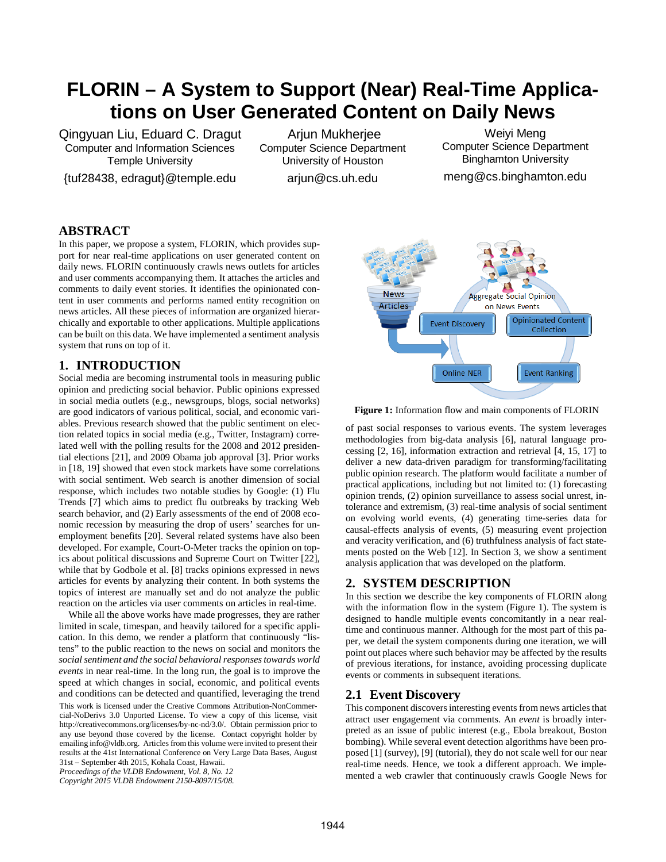# **FLORIN – A System to Support (Near) Real-Time Applications on User Generated Content on Daily News**

Qingyuan Liu, Eduard C. Dragut Computer and Information Sciences Temple University

{tuf28438, edragut}@temple.edu

Arjun Mukherjee Computer Science Department University of Houston

arjun@cs.uh.edu

Weiyi Meng Computer Science Department Binghamton University meng@cs.binghamton.edu

# **ABSTRACT**

In this paper, we propose a system, FLORIN, which provides support for near real-time applications on user generated content on daily news. FLORIN continuously crawls news outlets for articles and user comments accompanying them. It attaches the articles and comments to daily event stories. It identifies the opinionated content in user comments and performs named entity recognition on news articles. All these pieces of information are organized hierarchically and exportable to other applications. Multiple applications can be built on this data. We have implemented a sentiment analysis system that runs on top of it.

## **1. INTRODUCTION**

Social media are becoming instrumental tools in measuring public opinion and predicting social behavior. Public opinions expressed in social media outlets (e.g., newsgroups, blogs, social networks) are good indicators of various political, social, and economic variables. Previous research showed that the public sentiment on election related topics in social media (e.g., Twitter, Instagram) correlated well with the polling results for the 2008 and 2012 presidential elections [21], and 2009 Obama job approval [3]. Prior works in [18, 19] showed that even stock markets have some correlations with social sentiment. Web search is another dimension of social response, which includes two notable studies by Google: (1) Flu Trends [7] which aims to predict flu outbreaks by tracking Web search behavior, and (2) Early assessments of the end of 2008 economic recession by measuring the drop of users' searches for unemployment benefits [20]. Several related systems have also been developed. For example, Court-O-Meter tracks the opinion on topics about political discussions and Supreme Court on Twitter [22], while that by Godbole et al. [8] tracks opinions expressed in news articles for events by analyzing their content. In both systems the topics of interest are manually set and do not analyze the public reaction on the articles via user comments on articles in real-time.

While all the above works have made progresses, they are rather limited in scale, timespan, and heavily tailored for a specific application. In this demo, we render a platform that continuously "listens" to the public reaction to the news on social and monitors the *social sentiment and the social behavioral responsestowards world events* in near real-time. In the long run, the goal is to improve the speed at which changes in social, economic, and political events and conditions can be detected and quantified, leveraging the trend This work is licensed under the Creative Commons Attribution-NonCommercial-NoDerivs 3.0 Unported License. To view a copy of this license, visit http://creativecommons.org/licenses/by-nc-nd/3.0/. Obtain permission prior to any use beyond those covered by the license. Contact copyright holder by emailing info@vldb.org. Articles from this volume were invited to present their results at the 41st International Conference on Very Large Data Bases, August 31st – September 4th 2015, Kohala Coast, Hawaii.

*Proceedings of the VLDB Endowment, Vol. 8, No. 12 Copyright 2015 VLDB Endowment 2150-8097/15/08.*



**Figure 1:** Information flow and main components of FLORIN

of past social responses to various events. The system leverages methodologies from big-data analysis [6], natural language processing [2, 16], information extraction and retrieval [4, 15, 17] to deliver a new data-driven paradigm for transforming/facilitating public opinion research. The platform would facilitate a number of practical applications, including but not limited to: (1) forecasting opinion trends, (2) opinion surveillance to assess social unrest, intolerance and extremism, (3) real-time analysis of social sentiment on evolving world events, (4) generating time-series data for causal-effects analysis of events, (5) measuring event projection and veracity verification, and (6) truthfulness analysis of fact statements posted on the Web [12]. In Section 3, we show a sentiment analysis application that was developed on the platform.

## **2. SYSTEM DESCRIPTION**

In this section we describe the key components of FLORIN along with the information flow in the system (Figure 1). The system is designed to handle multiple events concomitantly in a near realtime and continuous manner. Although for the most part of this paper, we detail the system components during one iteration, we will point out places where such behavior may be affected by the results of previous iterations, for instance, avoiding processing duplicate events or comments in subsequent iterations.

## **2.1 Event Discovery**

This component discovers interesting events from news articles that attract user engagement via comments. An *event* is broadly interpreted as an issue of public interest (e.g., Ebola breakout, Boston bombing). While several event detection algorithms have been proposed [1] (survey), [9] (tutorial), they do not scale well for our near real-time needs. Hence, we took a different approach. We implemented a web crawler that continuously crawls Google News for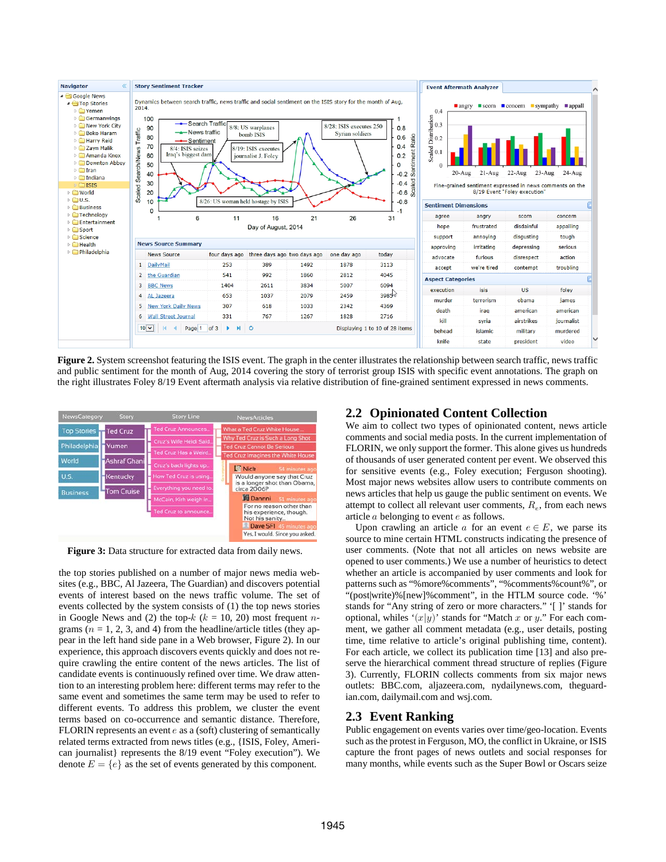

**Figure 2.** System screenshot featuring the ISIS event. The graph in the center illustrates the relationship between search traffic, news traffic and public sentiment for the month of Aug, 2014 covering the story of terrorist group ISIS with specific event annotations. The graph on the right illustrates Foley 8/19 Event aftermath analysis via relative distribution of fine-grained sentiment expressed in news comments.



**Figure 3:** Data structure for extracted data from daily news.

the top stories published on a number of major news media websites (e.g., BBC, Al Jazeera, The Guardian) and discovers potential events of interest based on the news traffic volume. The set of events collected by the system consists of (1) the top news stories in Google News and (2) the top- $k$  ( $k = 10, 20$ ) most frequent ngrams ( $n = 1, 2, 3$ , and 4) from the headline/article titles (they appear in the left hand side pane in a Web browser, Figure 2). In our experience, this approach discovers events quickly and does not require crawling the entire content of the news articles. The list of candidate events is continuously refined over time. We draw attention to an interesting problem here: different terms may refer to the same event and sometimes the same term may be used to refer to different events. To address this problem, we cluster the event terms based on co-occurrence and semantic distance. Therefore, FLORIN represents an event  $e$  as a (soft) clustering of semantically related terms extracted from news titles (e.g., {ISIS, Foley, American journalist} represents the 8/19 event "Foley execution"). We denote  $E = \{e\}$  as the set of events generated by this component.

# **2.2 Opinionated Content Collection**

We aim to collect two types of opinionated content, news article comments and social media posts. In the current implementation of FLORIN, we only support the former. This alone gives us hundreds of thousands of user generated content per event. We observed this for sensitive events (e.g., Foley execution; Ferguson shooting). Most major news websites allow users to contribute comments on news articles that help us gauge the public sentiment on events. We attempt to collect all relevant user comments,  $R_{\alpha}$ , from each news article  $a$  belonging to event  $e$  as follows.

Upon crawling an article  $a$  for an event  $e \in E$ , we parse its source to mine certain HTML constructs indicating the presence of user comments. (Note that not all articles on news website are opened to user comments.) We use a number of heuristics to detect whether an article is accompanied by user comments and look for patterns such as "%more%comments", "%comments%count%", or "(post|write)%[new]%comment", in the HTLM source code. '%' stands for "Any string of zero or more characters." '[ ]' stands for optional, whiles ' $(x|y)$ ' stands for "Match x or y." For each comment, we gather all comment metadata (e.g., user details, posting time, time relative to article's original publishing time, content). For each article, we collect its publication time [13] and also preserve the hierarchical comment thread structure of replies (Figure 3). Currently, FLORIN collects comments from six major news outlets: BBC.com, aljazeera.com, nydailynews.com, theguardian.com, dailymail.com and wsj.com.

#### **2.3 Event Ranking**

Public engagement on events varies over time/geo-location. Events such as the protest in Ferguson, MO, the conflict in Ukraine, or ISIS capture the front pages of news outlets and social responses for many months, while events such as the Super Bowl or Oscars seize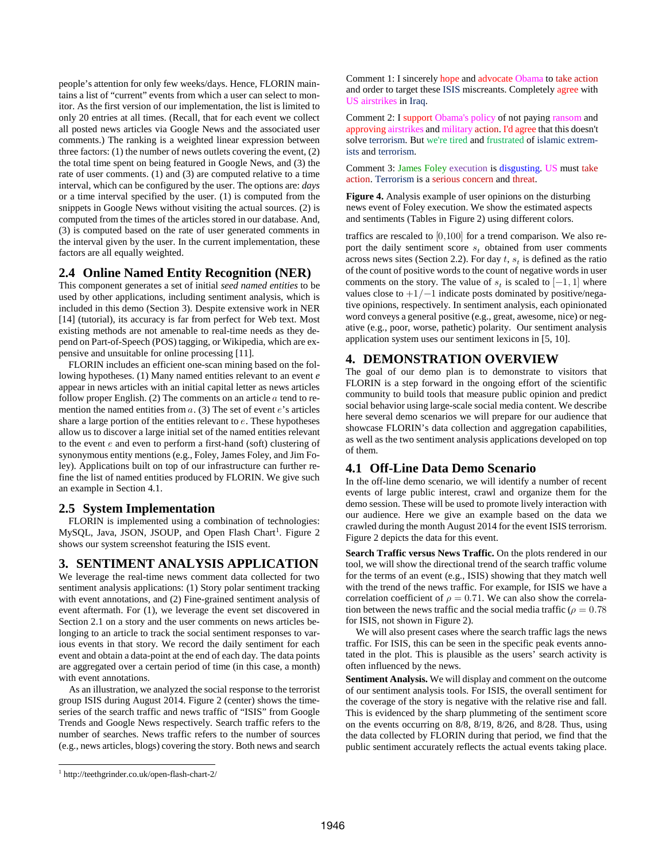people's attention for only few weeks/days. Hence, FLORIN maintains a list of "current" events from which a user can select to monitor. As the first version of our implementation, the list is limited to only 20 entries at all times. (Recall, that for each event we collect all posted news articles via Google News and the associated user comments.) The ranking is a weighted linear expression between three factors: (1) the number of news outlets covering the event, (2) the total time spent on being featured in Google News, and (3) the rate of user comments. (1) and (3) are computed relative to a time interval, which can be configured by the user. The options are: *days* or a time interval specified by the user. (1) is computed from the snippets in Google News without visiting the actual sources. (2) is computed from the times of the articles stored in our database. And, (3) is computed based on the rate of user generated comments in the interval given by the user. In the current implementation, these factors are all equally weighted.

## **2.4 Online Named Entity Recognition (NER)**

This component generates a set of initial *seed named entities* to be used by other applications, including sentiment analysis, which is included in this demo (Section 3). Despite extensive work in NER [14] (tutorial), its accuracy is far from perfect for Web text. Most existing methods are not amenable to real-time needs as they depend on Part-of-Speech (POS) tagging, or Wikipedia, which are expensive and unsuitable for online processing [11].

FLORIN includes an efficient one-scan mining based on the following hypotheses. (1) Many named entities relevant to an event *e* appear in news articles with an initial capital letter as news articles follow proper English. (2) The comments on an article  $a$  tend to remention the named entities from  $a$ . (3) The set of event  $e$ 's articles share a large portion of the entities relevant to  $e$ . These hypotheses allow us to discover a large initial set of the named entities relevant to the event  $e$  and even to perform a first-hand (soft) clustering of synonymous entity mentions (e.g., Foley, James Foley, and Jim Foley). Applications built on top of our infrastructure can further refine the list of named entities produced by FLORIN. We give such an example in Section 4.1.

## **2.5 System Implementation**

FLORIN is implemented using a combination of technologies: MySQL, Java, JSON, JSOUP, and Open Flash Chart<sup>[1](#page-2-0)</sup>. Figure 2 shows our system screenshot featuring the ISIS event.

## **3. SENTIMENT ANALYSIS APPLICATION**

We leverage the real-time news comment data collected for two sentiment analysis applications: (1) Story polar sentiment tracking with event annotations, and (2) Fine-grained sentiment analysis of event aftermath. For (1), we leverage the event set discovered in Section 2.1 on a story and the user comments on news articles belonging to an article to track the social sentiment responses to various events in that story. We record the daily sentiment for each event and obtain a data-point at the end of each day. The data points are aggregated over a certain period of time (in this case, a month) with event annotations.

As an illustration, we analyzed the social response to the terrorist group ISIS during August 2014. Figure 2 (center) shows the timeseries of the search traffic and news traffic of "ISIS" from Google Trends and Google News respectively. Search traffic refers to the number of searches. News traffic refers to the number of sources (e.g., news articles, blogs) covering the story. Both news and search

<span id="page-2-0"></span>1 http://teethgrinder.co.uk/open-flash-chart-2/

Comment 1: I sincerely hope and advocate Obama to take action and order to target these ISIS miscreants. Completely agree with US airstrikes in Iraq.

Comment 2: I support Obama's policy of not paying ransom and approving airstrikes and military action. I'd agree that this doesn't solve terrorism. But we're tired and frustrated of islamic extremists and terrorism.

Comment 3: James Foley execution is disgusting. US must take action. Terrorism is a serious concern and threat.

**Figure 4.** Analysis example of user opinions on the disturbing news event of Foley execution. We show the estimated aspects and sentiments (Tables in Figure 2) using different colors.

traffics are rescaled to [0,100] for a trend comparison. We also report the daily sentiment score  $s_t$  obtained from user comments across news sites (Section 2.2). For day  $t$ ,  $s_t$  is defined as the ratio of the count of positive words to the count of negative words in user comments on the story. The value of  $s_t$  is scaled to [-1, 1] where values close to  $+1/-1$  indicate posts dominated by positive/negative opinions, respectively. In sentiment analysis, each opinionated word conveys a general positive (e.g., great, awesome, nice) or negative (e.g., poor, worse, pathetic) polarity. Our sentiment analysis application system uses our sentiment lexicons in [5, 10].

# **4. DEMONSTRATION OVERVIEW**

The goal of our demo plan is to demonstrate to visitors that FLORIN is a step forward in the ongoing effort of the scientific community to build tools that measure public opinion and predict social behavior using large-scale social media content. We describe here several demo scenarios we will prepare for our audience that showcase FLORIN's data collection and aggregation capabilities, as well as the two sentiment analysis applications developed on top of them.

# **4.1 Off-Line Data Demo Scenario**

In the off-line demo scenario, we will identify a number of recent events of large public interest, crawl and organize them for the demo session. These will be used to promote lively interaction with our audience. Here we give an example based on the data we crawled during the month August 2014 for the event ISIS terrorism. Figure 2 depicts the data for this event.

**Search Traffic versus News Traffic.** On the plots rendered in our tool, we will show the directional trend of the search traffic volume for the terms of an event (e.g., ISIS) showing that they match well with the trend of the news traffic. For example, for ISIS we have a correlation coefficient of  $\rho = 0.71$ . We can also show the correlation between the news traffic and the social media traffic ( $\rho = 0.78$ ) for ISIS, not shown in Figure 2).

We will also present cases where the search traffic lags the news traffic. For ISIS, this can be seen in the specific peak events annotated in the plot. This is plausible as the users' search activity is often influenced by the news.

**Sentiment Analysis.** We will display and comment on the outcome of our sentiment analysis tools. For ISIS, the overall sentiment for the coverage of the story is negative with the relative rise and fall. This is evidenced by the sharp plummeting of the sentiment score on the events occurring on 8/8, 8/19, 8/26, and 8/28. Thus, using the data collected by FLORIN during that period, we find that the public sentiment accurately reflects the actual events taking place.